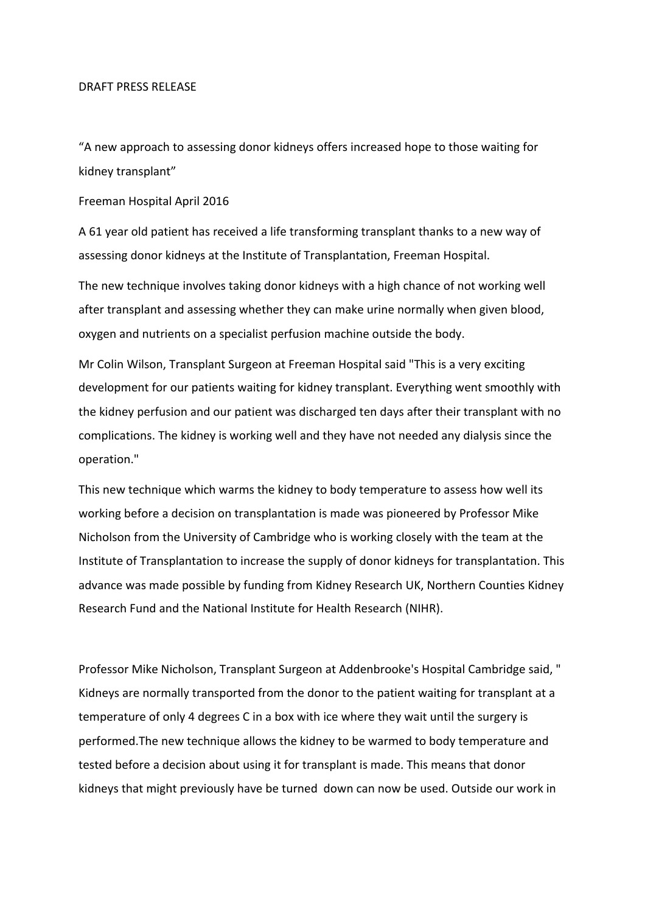## DRAFT PRESS RELEASE

"A new approach to assessing donor kidneys offers increased hope to those waiting for kidney transplant"

Freeman Hospital April 2016

A 61 year old patient has received a life transforming transplant thanks to a new way of assessing donor kidneys at the Institute of Transplantation, Freeman Hospital.

The new technique involves taking donor kidneys with a high chance of not working well after transplant and assessing whether they can make urine normally when given blood, oxygen and nutrients on a specialist perfusion machine outside the body.

Mr Colin Wilson, Transplant Surgeon at Freeman Hospital said "This is a very exciting development for our patients waiting for kidney transplant. Everything went smoothly with the kidney perfusion and our patient was discharged ten days after their transplant with no complications. The kidney is working well and they have not needed any dialysis since the operation."

This new technique which warms the kidney to body temperature to assess how well its working before a decision on transplantation is made was pioneered by Professor Mike Nicholson from the University of Cambridge who is working closely with the team at the Institute of Transplantation to increase the supply of donor kidneys for transplantation. This advance was made possible by funding from Kidney Research UK, Northern Counties Kidney Research Fund and the National Institute for Health Research (NIHR).

Professor Mike Nicholson, Transplant Surgeon at Addenbrooke's Hospital Cambridge said, " Kidneys are normally transported from the donor to the patient waiting for transplant at a temperature of only 4 degrees C in a box with ice where they wait until the surgery is performed. The new technique allows the kidney to be warmed to body temperature and tested before a decision about using it for transplant is made. This means that donor kidneys that might previously have be turned down can now be used. Outside our work in